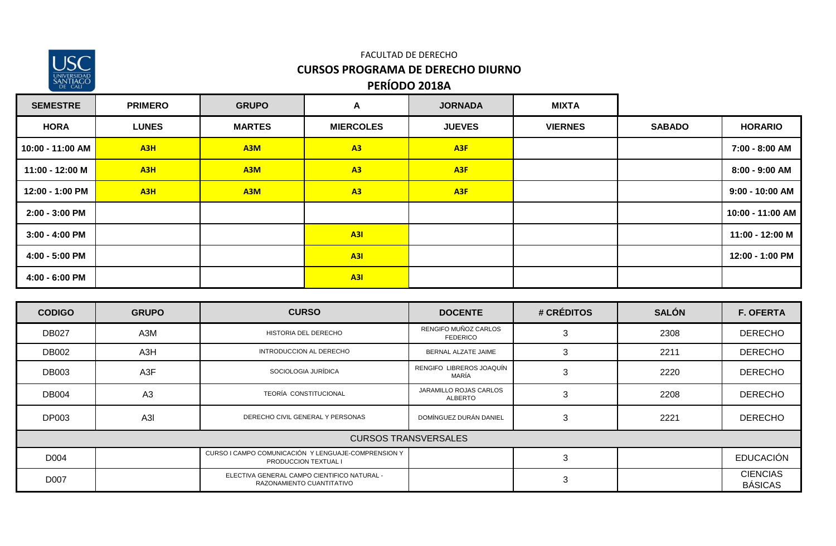

#### FACULTAD DE DERECHO **CURSOS PROGRAMA DE DERECHO DIURNO PERÍODO 2018A**

| <b>SEMESTRE</b>  | <b>PRIMERO</b>   | <b>GRUPO</b>     | $\blacktriangle$ | <b>JORNADA</b>  | <b>MIXTA</b>   |               |                   |
|------------------|------------------|------------------|------------------|-----------------|----------------|---------------|-------------------|
| <b>HORA</b>      | <b>LUNES</b>     | <b>MARTES</b>    | <b>MIERCOLES</b> | <b>JUEVES</b>   | <b>VIERNES</b> | <b>SABADO</b> | <b>HORARIO</b>    |
| 10:00 - 11:00 AM | A3H              | A <sub>3</sub> M | A3               | A <sub>3F</sub> |                |               | 7:00 - 8:00 AM    |
| 11:00 - 12:00 M  | A3H              | A <sub>3</sub> M | A3               | A <sub>3F</sub> |                |               | 8:00 - 9:00 AM    |
| 12:00 - 1:00 PM  | A <sub>3</sub> H | A <sub>3</sub> M | A3               | A <sub>3F</sub> |                |               | $9:00 - 10:00$ AM |
| 2:00 - 3:00 PM   |                  |                  |                  |                 |                |               | 10:00 - 11:00 AM  |
| $3:00 - 4:00$ PM |                  |                  | A3I              |                 |                |               | 11:00 - 12:00 M   |
| 4:00 - 5:00 PM   |                  |                  | A3I              |                 |                |               | 12:00 - 1:00 PM   |
| 4:00 - 6:00 PM   |                  |                  | A3I              |                 |                |               |                   |

| <b>CODIGO</b> | <b>GRUPO</b>   | <b>CURSO</b>                                                                | <b>DOCENTE</b>                          | # CRÉDITOS | <b>SALÓN</b> | <b>F. OFERTA</b>                  |
|---------------|----------------|-----------------------------------------------------------------------------|-----------------------------------------|------------|--------------|-----------------------------------|
| <b>DB027</b>  | A3M            | HISTORIA DEL DERECHO                                                        | RENGIFO MUÑOZ CARLOS<br><b>FEDERICO</b> | 3          | 2308         | <b>DERECHO</b>                    |
| <b>DB002</b>  | A3H            | INTRODUCCION AL DERECHO                                                     | BERNAL ALZATE JAIME                     | 3          | 2211         | <b>DERECHO</b>                    |
| <b>DB003</b>  | A3F            | SOCIOLOGIA JURÍDICA                                                         | RENGIFO LIBREROS JOAQUÍN<br>MARÍA       | 3          | 2220         | <b>DERECHO</b>                    |
| <b>DB004</b>  | A3             | TEORÍA CONSTITUCIONAL                                                       | JARAMILLO ROJAS CARLOS<br>ALBERTO       | 3          | 2208         | <b>DERECHO</b>                    |
| <b>DP003</b>  | A <sub>3</sub> | DERECHO CIVIL GENERAL Y PERSONAS                                            | DOMÍNGUEZ DURÁN DANIEL                  | 3          | 2221         | <b>DERECHO</b>                    |
|               |                |                                                                             | <b>CURSOS TRANSVERSALES</b>             |            |              |                                   |
| D004          |                | CURSO I CAMPO COMUNICACIÓN Y LENGUAJE-COMPRENSION Y<br>PRODUCCION TEXTUAL I |                                         | 3          |              | <b>EDUCACIÓN</b>                  |
| D007          |                | ELECTIVA GENERAL CAMPO CIENTIFICO NATURAL -<br>RAZONAMIENTO CUANTITATIVO    |                                         | 3          |              | <b>CIENCIAS</b><br><b>BÁSICAS</b> |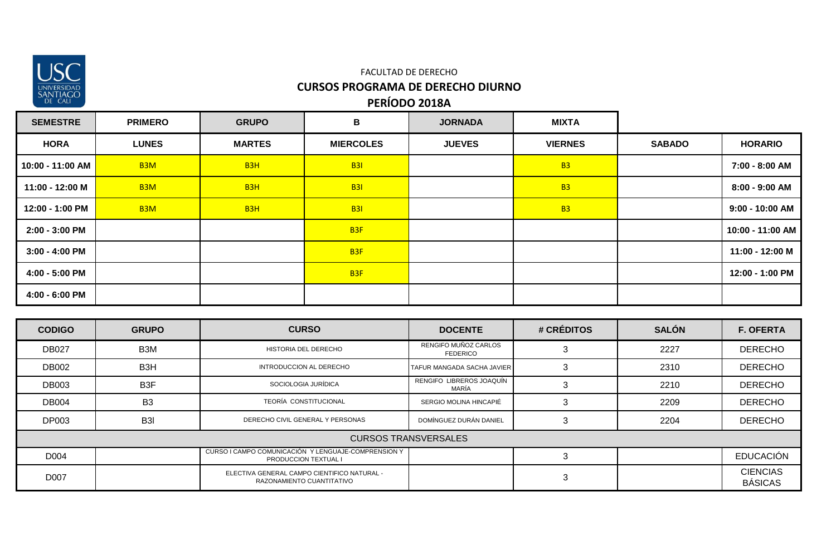

| <b>SEMESTRE</b>  | <b>PRIMERO</b>   | <b>GRUPO</b>     | B                | <b>JORNADA</b> | <b>MIXTA</b>   |               |                  |
|------------------|------------------|------------------|------------------|----------------|----------------|---------------|------------------|
| <b>HORA</b>      | <b>LUNES</b>     | <b>MARTES</b>    | <b>MIERCOLES</b> | <b>JUEVES</b>  | <b>VIERNES</b> | <b>SABADO</b> | <b>HORARIO</b>   |
| 10:00 - 11:00 AM | B <sub>3</sub> M | B <sub>3</sub> H | B3I              |                | <b>B3</b>      |               | 7:00 - 8:00 AM   |
| 11:00 - 12:00 M  | B <sub>3</sub> M | B <sub>3</sub> H | <b>B31</b>       |                | <b>B3</b>      |               | 8:00 - 9:00 AM   |
| 12:00 - 1:00 PM  | B <sub>3</sub> M | B <sub>3</sub> H | <b>B31</b>       |                | <b>B3</b>      |               | 9:00 - 10:00 AM  |
| 2:00 - 3:00 PM   |                  |                  | B <sub>3F</sub>  |                |                |               | 10:00 - 11:00 AM |
| $3:00 - 4:00$ PM |                  |                  | B <sub>3F</sub>  |                |                |               | 11:00 - 12:00 M  |
| 4:00 - 5:00 PM   |                  |                  | B <sub>3F</sub>  |                |                |               | 12:00 - 1:00 PM  |
| 4:00 - 6:00 PM   |                  |                  |                  |                |                |               |                  |

| <b>CODIGO</b> | <b>GRUPO</b>     | <b>CURSO</b>                                                                | <b>DOCENTE</b>                          | # CRÉDITOS | <b>SALÓN</b> | <b>F. OFERTA</b>                  |
|---------------|------------------|-----------------------------------------------------------------------------|-----------------------------------------|------------|--------------|-----------------------------------|
| <b>DB027</b>  | B <sub>3</sub> M | HISTORIA DEL DERECHO                                                        | RENGIFO MUÑOZ CARLOS<br><b>FEDERICO</b> |            | 2227         | <b>DERECHO</b>                    |
| <b>DB002</b>  | B <sub>3</sub> H | INTRODUCCION AL DERECHO                                                     | TAFUR MANGADA SACHA JAVIER              |            | 2310         | <b>DERECHO</b>                    |
| <b>DB003</b>  | B <sub>3</sub> F | SOCIOLOGIA JURÍDICA                                                         | RENGIFO LIBREROS JOAQUÍN<br>MARÍA       |            | 2210         | <b>DERECHO</b>                    |
| <b>DB004</b>  | B <sub>3</sub>   | TEORÍA CONSTITUCIONAL                                                       | SERGIO MOLINA HINCAPIÉ                  |            | 2209         | <b>DERECHO</b>                    |
| <b>DP003</b>  | B <sub>3</sub>   | DERECHO CIVIL GENERAL Y PERSONAS                                            | DOMÍNGUEZ DURÁN DANIEL                  |            | 2204         | <b>DERECHO</b>                    |
|               |                  |                                                                             | <b>CURSOS TRANSVERSALES</b>             |            |              |                                   |
| D004          |                  | CURSO I CAMPO COMUNICACIÓN Y LENGUAJE-COMPRENSION Y<br>PRODUCCION TEXTUAL I |                                         |            |              | <b>EDUCACIÓN</b>                  |
| D007          |                  | ELECTIVA GENERAL CAMPO CIENTIFICO NATURAL -<br>RAZONAMIENTO CUANTITATIVO    |                                         | C          |              | <b>CIENCIAS</b><br><b>BÁSICAS</b> |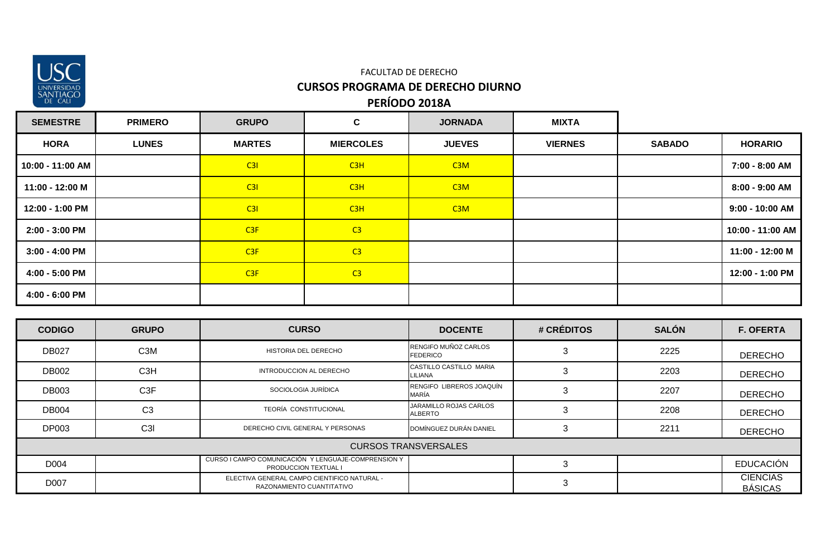

| <b>SEMESTRE</b>  | <b>PRIMERO</b> | <b>GRUPO</b>  | $\mathbf c$      | <b>JORNADA</b>   | <b>MIXTA</b>   |               |                   |
|------------------|----------------|---------------|------------------|------------------|----------------|---------------|-------------------|
| <b>HORA</b>      | <b>LUNES</b>   | <b>MARTES</b> | <b>MIERCOLES</b> | <b>JUEVES</b>    | <b>VIERNES</b> | <b>SABADO</b> | <b>HORARIO</b>    |
| 10:00 - 11:00 AM |                | C3I           | C <sub>3H</sub>  | C <sub>3</sub> M |                |               | 7:00 - 8:00 AM    |
| 11:00 - 12:00 M  |                | C3I           | C3H              | C3M              |                |               | 8:00 - 9:00 AM    |
| 12:00 - 1:00 PM  |                | C3I           | C3H              | C3M              |                |               | $9:00 - 10:00$ AM |
| 2:00 - 3:00 PM   |                | C3F           | C <sub>3</sub>   |                  |                |               | 10:00 - 11:00 AM  |
| 3:00 - 4:00 PM   |                | C3F           | C <sub>3</sub>   |                  |                |               | 11:00 - 12:00 M   |
| 4:00 - 5:00 PM   |                | C3F           | C <sub>3</sub>   |                  |                |               | 12:00 - 1:00 PM   |
| 4:00 - 6:00 PM   |                |               |                  |                  |                |               |                   |

| <b>CODIGO</b> | <b>GRUPO</b>     | <b>CURSO</b>                                                                | <b>DOCENTE</b>                           | # CRÉDITOS | <b>SALÓN</b> | <b>F. OFERTA</b>                  |
|---------------|------------------|-----------------------------------------------------------------------------|------------------------------------------|------------|--------------|-----------------------------------|
| <b>DB027</b>  | C <sub>3</sub> M | HISTORIA DEL DERECHO                                                        | RENGIFO MUÑOZ CARLOS<br><b>FEDERICO</b>  |            | 2225         | <b>DERECHO</b>                    |
| <b>DB002</b>  | C <sub>3</sub> H | INTRODUCCION AL DERECHO                                                     | CASTILLO CASTILLO MARIA<br>LILIANA       |            | 2203         | <b>DERECHO</b>                    |
| <b>DB003</b>  | C <sub>3</sub> F | SOCIOLOGIA JURÍDICA                                                         | RENGIFO LIBREROS JOAQUÍN<br>MARÍA        |            | 2207         | <b>DERECHO</b>                    |
| <b>DB004</b>  | C <sub>3</sub>   | TEORÍA CONSTITUCIONAL                                                       | JARAMILLO ROJAS CARLOS<br><b>ALBERTO</b> |            | 2208         | <b>DERECHO</b>                    |
| <b>DP003</b>  | C <sub>3</sub>   | DERECHO CIVIL GENERAL Y PERSONAS                                            | DOMÍNGUEZ DURÁN DANIEL                   |            | 2211         | <b>DERECHO</b>                    |
|               |                  |                                                                             | <b>CURSOS TRANSVERSALES</b>              |            |              |                                   |
| D004          |                  | CURSO I CAMPO COMUNICACIÓN Y LENGUAJE-COMPRENSION Y<br>PRODUCCION TEXTUAL I |                                          |            |              | <b>EDUCACIÓN</b>                  |
| D007          |                  | ELECTIVA GENERAL CAMPO CIENTIFICO NATURAL -<br>RAZONAMIENTO CUANTITATIVO    |                                          | 3          |              | <b>CIENCIAS</b><br><b>BÁSICAS</b> |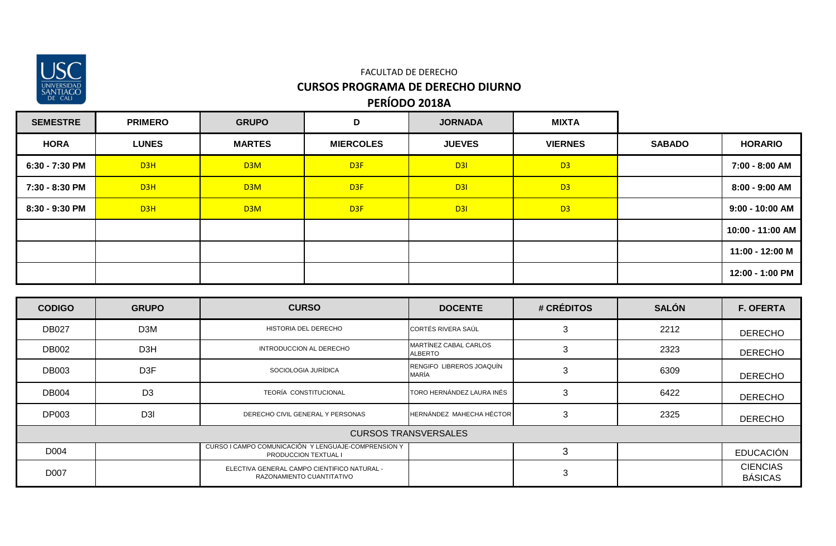

| <b>SEMESTRE</b> | <b>PRIMERO</b> | <b>GRUPO</b>     | D                | <b>JORNADA</b> | <b>MIXTA</b>   |               |                   |
|-----------------|----------------|------------------|------------------|----------------|----------------|---------------|-------------------|
| <b>HORA</b>     | <b>LUNES</b>   | <b>MARTES</b>    | <b>MIERCOLES</b> | <b>JUEVES</b>  | <b>VIERNES</b> | <b>SABADO</b> | <b>HORARIO</b>    |
| 6:30 - 7:30 PM  | D3H            | D <sub>3</sub> M | D <sub>3F</sub>  | D3I            | D <sub>3</sub> |               | 7:00 - 8:00 AM    |
| 7:30 - 8:30 PM  | D3H            | D3M              | D <sub>3F</sub>  | D3I            | D <sub>3</sub> |               | 8:00 - 9:00 AM    |
| 8:30 - 9:30 PM  | D3H            | D3M              | D <sub>3F</sub>  | D3I            | D <sub>3</sub> |               | $9:00 - 10:00$ AM |
|                 |                |                  |                  |                |                |               | 10:00 - 11:00 AM  |
|                 |                |                  |                  |                |                |               | 11:00 - 12:00 M   |
|                 |                |                  |                  |                |                |               | 12:00 - 1:00 PM   |

| <b>CODIGO</b> | <b>GRUPO</b>     | <b>CURSO</b>                                                                       | <b>DOCENTE</b>                          | # CRÉDITOS | <b>SALÓN</b> | <b>F. OFERTA</b>                  |
|---------------|------------------|------------------------------------------------------------------------------------|-----------------------------------------|------------|--------------|-----------------------------------|
| <b>DB027</b>  | D <sub>3</sub> M | HISTORIA DEL DERECHO                                                               | CORTÉS RIVERA SAÚL                      | 3          | 2212         | <b>DERECHO</b>                    |
| <b>DB002</b>  | D <sub>3</sub> H | INTRODUCCION AL DERECHO                                                            | MARTÍNEZ CABAL CARLOS<br><b>ALBERTO</b> |            | 2323         | <b>DERECHO</b>                    |
| <b>DB003</b>  | D <sub>3</sub> F | SOCIOLOGIA JURÍDICA                                                                | RENGIFO LIBREROS JOAQUÍN<br>MARÍA       | 3          | 6309         | <b>DERECHO</b>                    |
| <b>DB004</b>  | D <sub>3</sub>   | <b>TEORÍA CONSTITUCIONAL</b>                                                       | TORO HERNÁNDEZ LAURA INÉS               | 3          | 6422         | <b>DERECHO</b>                    |
| <b>DP003</b>  | D <sub>3</sub>   | DERECHO CIVIL GENERAL Y PERSONAS                                                   | HERNÁNDEZ MAHECHA HÉCTOR                | 3          | 2325         | <b>DERECHO</b>                    |
|               |                  |                                                                                    | <b>CURSOS TRANSVERSALES</b>             |            |              |                                   |
| D004          |                  | CURSO I CAMPO COMUNICACIÓN Y LENGUAJE-COMPRENSION Y<br><b>PRODUCCION TEXTUAL I</b> |                                         |            |              | <b>EDUCACIÓN</b>                  |
| D007          |                  | ELECTIVA GENERAL CAMPO CIENTIFICO NATURAL -<br>RAZONAMIENTO CUANTITATIVO           |                                         | 3          |              | <b>CIENCIAS</b><br><b>BÁSICAS</b> |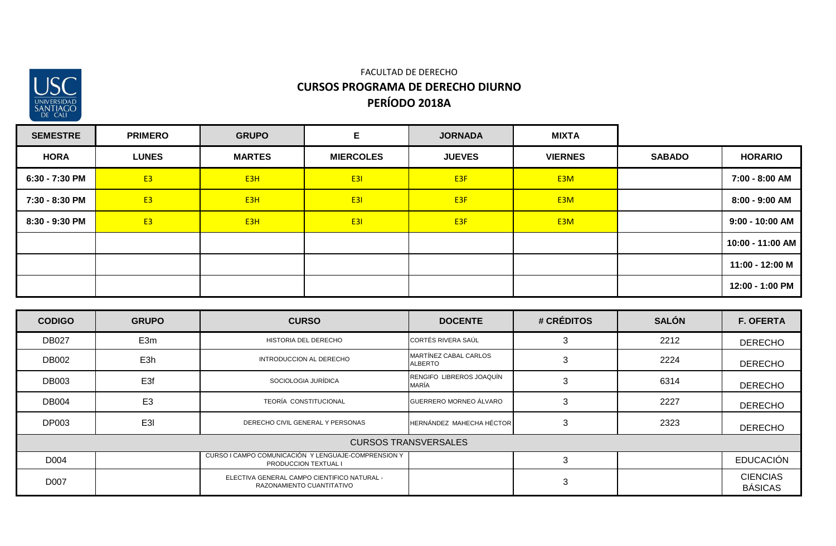

#### **PERÍODO 2018A** FACULTAD DE DERECHO **CURSOS PROGRAMA DE DERECHO DIURNO**

| <b>SEMESTRE</b> | <b>PRIMERO</b> | <b>GRUPO</b>     | Е                | <b>JORNADA</b>  | <b>MIXTA</b>     |               |                   |
|-----------------|----------------|------------------|------------------|-----------------|------------------|---------------|-------------------|
| <b>HORA</b>     | <b>LUNES</b>   | <b>MARTES</b>    | <b>MIERCOLES</b> | <b>JUEVES</b>   | <b>VIERNES</b>   | <b>SABADO</b> | <b>HORARIO</b>    |
| 6:30 - 7:30 PM  | E <sub>3</sub> | E <sub>3</sub> H | <b>E31</b>       | E <sub>3F</sub> | E <sub>3</sub> M |               | 7:00 - 8:00 AM    |
| 7:30 - 8:30 PM  | <b>E3</b>      | E <sub>3</sub> H | <b>E31</b>       | E <sub>3F</sub> | E <sub>3</sub> M |               | 8:00 - 9:00 AM    |
| 8:30 - 9:30 PM  | <b>E3</b>      | E <sub>3</sub> H | <b>E31</b>       | E <sub>3F</sub> | E <sub>3</sub> M |               | $9:00 - 10:00$ AM |
|                 |                |                  |                  |                 |                  |               | 10:00 - 11:00 AM  |
|                 |                |                  |                  |                 |                  |               | 11:00 - 12:00 M   |
|                 |                |                  |                  |                 |                  |               | 12:00 - 1:00 PM   |

| <b>CODIGO</b> | <b>GRUPO</b>    | <b>CURSO</b>                                                                       | <b>DOCENTE</b>                          | # CRÉDITOS | <b>SALÓN</b> | <b>F. OFERTA</b>                  |
|---------------|-----------------|------------------------------------------------------------------------------------|-----------------------------------------|------------|--------------|-----------------------------------|
| <b>DB027</b>  | E3m             | HISTORIA DEL DERECHO                                                               | CORTÉS RIVERA SAÚL                      |            | 2212         | <b>DERECHO</b>                    |
| DB002         | E3h             | INTRODUCCION AL DERECHO                                                            | MARTÍNEZ CABAL CARLOS<br><b>ALBERTO</b> |            | 2224         | <b>DERECHO</b>                    |
| <b>DB003</b>  | E <sub>3f</sub> | SOCIOLOGIA JURÍDICA                                                                | RENGIFO LIBREROS JOAQUÍN<br>MARÍA       |            | 6314         | <b>DERECHO</b>                    |
| <b>DB004</b>  | E <sub>3</sub>  | <b>TEORÍA CONSTITUCIONAL</b>                                                       | GUERRERO MORNEO ÁLVARO                  | 3          | 2227         | <b>DERECHO</b>                    |
| <b>DP003</b>  | E <sub>3</sub>  | DERECHO CIVIL GENERAL Y PERSONAS                                                   | HERNÁNDEZ MAHECHA HÉCTOR                |            | 2323         | <b>DERECHO</b>                    |
|               |                 |                                                                                    | <b>CURSOS TRANSVERSALES</b>             |            |              |                                   |
| D004          |                 | CURSO I CAMPO COMUNICACIÓN Y LENGUAJE-COMPRENSION Y<br><b>PRODUCCION TEXTUAL I</b> |                                         |            |              | EDUCACIÓN                         |
| D007          |                 | ELECTIVA GENERAL CAMPO CIENTIFICO NATURAL -<br>RAZONAMIENTO CUANTITATIVO           |                                         | 3          |              | <b>CIENCIAS</b><br><b>BÁSICAS</b> |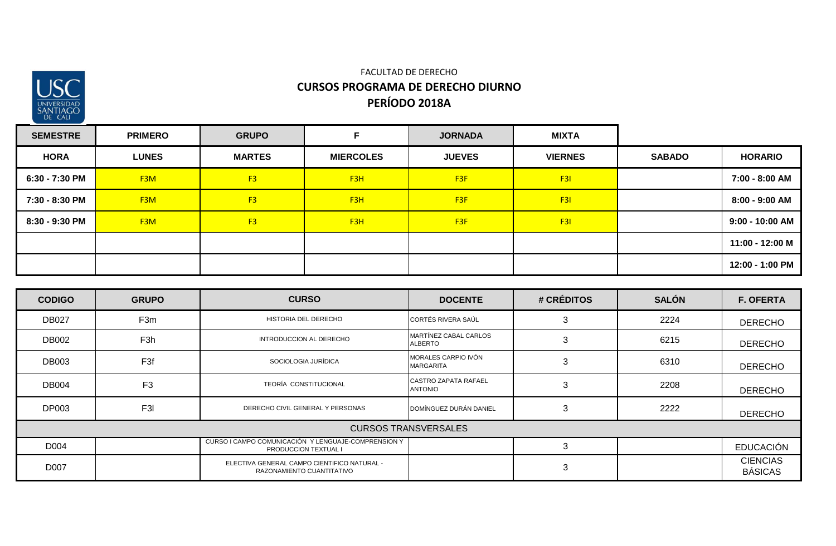

#### FACULTAD DE DERECHO **CURSOS PROGRAMA DE DERECHO DIURNO PERÍODO 2018A**

| <b>SEMESTRE</b> | <b>PRIMERO</b>   | <b>GRUPO</b>   |                  | <b>JORNADA</b>  | <b>MIXTA</b>   |               |                   |
|-----------------|------------------|----------------|------------------|-----------------|----------------|---------------|-------------------|
| <b>HORA</b>     | <b>LUNES</b>     | <b>MARTES</b>  | <b>MIERCOLES</b> | <b>JUEVES</b>   | <b>VIERNES</b> | <b>SABADO</b> | <b>HORARIO</b>    |
| 6:30 - 7:30 PM  | F <sub>3</sub> M | F <sub>3</sub> | F <sub>3</sub> H | F <sub>3F</sub> | F3I            |               | 7:00 - 8:00 AM    |
| 7:30 - 8:30 PM  | F <sub>3</sub> M | F <sub>3</sub> | F <sub>3</sub> H | F <sub>3F</sub> | F3I            |               | 8:00 - 9:00 AM    |
| 8:30 - 9:30 PM  | F <sub>3</sub> M | F <sub>3</sub> | F <sub>3</sub> H | F <sub>3F</sub> | F3I            |               | $9:00 - 10:00$ AM |
|                 |                  |                |                  |                 |                |               | 11:00 - 12:00 M   |
|                 |                  |                |                  |                 |                |               | 12:00 - 1:00 PM   |

| <b>CODIGO</b> | <b>GRUPO</b>                | <b>CURSO</b>                                                                       | <b>DOCENTE</b>                                | # CRÉDITOS | <b>SALÓN</b> | <b>F. OFERTA</b>                  |  |  |  |
|---------------|-----------------------------|------------------------------------------------------------------------------------|-----------------------------------------------|------------|--------------|-----------------------------------|--|--|--|
| <b>DB027</b>  | F <sub>3m</sub>             | HISTORIA DEL DERECHO                                                               | CORTÉS RIVERA SAÚL                            | 3          | 2224         | <b>DERECHO</b>                    |  |  |  |
| <b>DB002</b>  | F <sub>3</sub> h            | INTRODUCCION AL DERECHO                                                            | MARTÍNEZ CABAL CARLOS<br><b>ALBERTO</b>       | 3          | 6215         | <b>DERECHO</b>                    |  |  |  |
| <b>DB003</b>  | F <sub>3f</sub>             | SOCIOLOGIA JURÍDICA                                                                | MORALES CARPIO IVÓN<br><b>MARGARITA</b>       | 3          | 6310         | <b>DERECHO</b>                    |  |  |  |
| <b>DB004</b>  | F <sub>3</sub>              | TEORÍA CONSTITUCIONAL                                                              | <b>CASTRO ZAPATA RAFAEL</b><br><b>ANTONIO</b> | 3          | 2208         | <b>DERECHO</b>                    |  |  |  |
| <b>DP003</b>  | F <sub>3</sub> I            | DERECHO CIVIL GENERAL Y PERSONAS                                                   | DOMÍNGUEZ DURÁN DANIEL                        | 3          | 2222         | <b>DERECHO</b>                    |  |  |  |
|               | <b>CURSOS TRANSVERSALES</b> |                                                                                    |                                               |            |              |                                   |  |  |  |
| D004          |                             | CURSO I CAMPO COMUNICACIÓN Y LENGUAJE-COMPRENSION Y<br><b>PRODUCCION TEXTUAL I</b> |                                               | 3          |              | <b>EDUCACIÓN</b>                  |  |  |  |
| D007          |                             | ELECTIVA GENERAL CAMPO CIENTIFICO NATURAL -<br>RAZONAMIENTO CUANTITATIVO           |                                               | 3          |              | <b>CIENCIAS</b><br><b>BÁSICAS</b> |  |  |  |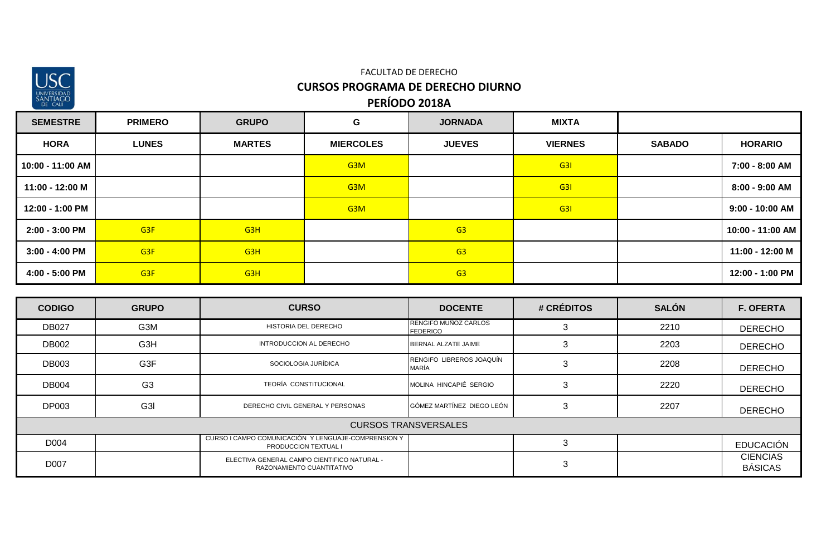

| <b>SEMESTRE</b>  | <b>PRIMERO</b>  | <b>GRUPO</b>     | G                | <b>JORNADA</b> | <b>MIXTA</b>   |               |                   |
|------------------|-----------------|------------------|------------------|----------------|----------------|---------------|-------------------|
| <b>HORA</b>      | <b>LUNES</b>    | <b>MARTES</b>    | <b>MIERCOLES</b> | <b>JUEVES</b>  | <b>VIERNES</b> | <b>SABADO</b> | <b>HORARIO</b>    |
| 10:00 - 11:00 AM |                 |                  | G <sub>3</sub> M |                | G <sub>3</sub> |               | 7:00 - 8:00 AM    |
| 11:00 - 12:00 M  |                 |                  | G <sub>3</sub> M |                | G <sub>3</sub> |               | 8:00 - 9:00 AM    |
| 12:00 - 1:00 PM  |                 |                  | G <sub>3</sub> M |                | G3I            |               | $9:00 - 10:00$ AM |
| 2:00 - 3:00 PM   | G <sub>3F</sub> | G <sub>3</sub> H |                  | G3             |                |               | 10:00 - 11:00 AM  |
| $3:00 - 4:00$ PM | G <sub>3F</sub> | G <sub>3</sub> H |                  | G3             |                |               | 11:00 - 12:00 M   |
| 4:00 - 5:00 PM   | G <sub>3F</sub> | G <sub>3</sub> H |                  | G3             |                |               | 12:00 - 1:00 PM   |

| <b>CODIGO</b>               | <b>GRUPO</b>     | <b>CURSO</b>                                                                | <b>DOCENTE</b>                          | # CRÉDITOS | <b>SALÓN</b> | <b>F. OFERTA</b>                  |  |  |
|-----------------------------|------------------|-----------------------------------------------------------------------------|-----------------------------------------|------------|--------------|-----------------------------------|--|--|
| <b>DB027</b>                | G3M              | HISTORIA DEL DERECHO                                                        | RENGIFO MUÑOZ CARLOS<br><b>FEDERICO</b> |            | 2210         | <b>DERECHO</b>                    |  |  |
| <b>DB002</b>                | G3H              | INTRODUCCION AL DERECHO                                                     | BERNAL ALZATE JAIME                     | 3          | 2203         | <b>DERECHO</b>                    |  |  |
| <b>DB003</b>                | G3F              | SOCIOLOGIA JURÍDICA                                                         | RENGIFO LIBREROS JOAQUÍN<br>MARÍA       | 3          | 2208         | <b>DERECHO</b>                    |  |  |
| <b>DB004</b>                | G <sub>3</sub>   | TEORÍA CONSTITUCIONAL                                                       | MOLINA HINCAPIÉ SERGIO                  | 3          | 2220         | <b>DERECHO</b>                    |  |  |
| <b>DP003</b>                | G <sub>3</sub> I | DERECHO CIVIL GENERAL Y PERSONAS                                            | GÓMEZ MARTÍNEZ DIEGO LEÓN               | 3          | 2207         | <b>DERECHO</b>                    |  |  |
| <b>CURSOS TRANSVERSALES</b> |                  |                                                                             |                                         |            |              |                                   |  |  |
| D004                        |                  | CURSO I CAMPO COMUNICACIÓN Y LENGUAJE-COMPRENSION Y<br>PRODUCCION TEXTUAL I |                                         |            |              | <b>EDUCACIÓN</b>                  |  |  |
| D007                        |                  | ELECTIVA GENERAL CAMPO CIENTIFICO NATURAL -<br>RAZONAMIENTO CUANTITATIVO    |                                         | 3          |              | <b>CIENCIAS</b><br><b>BÁSICAS</b> |  |  |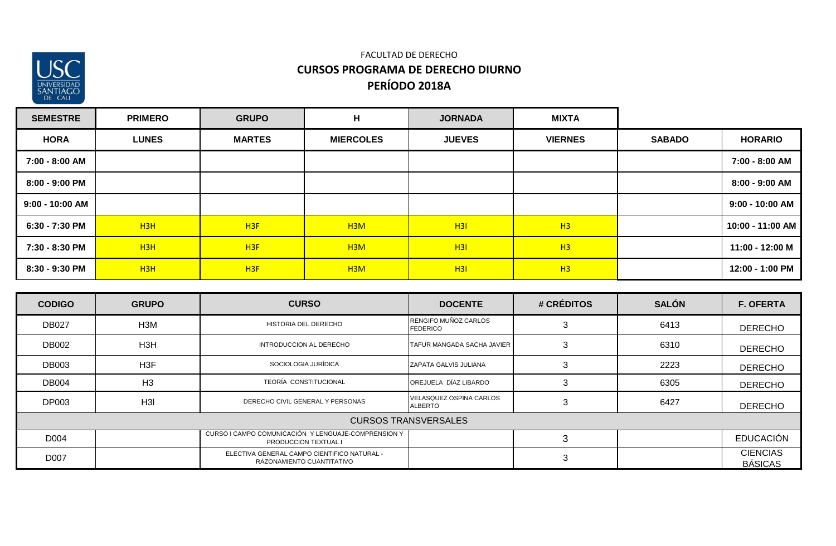

#### FACULTAD DE DERECHO **CURSOS PROGRAMA DE DERECHO DIURNO PERÍODO 2018A**

| <b>SEMESTRE</b> | <b>PRIMERO</b>  | <b>GRUPO</b>    | н                | <b>JORNADA</b> | <b>MIXTA</b>   |               |                  |
|-----------------|-----------------|-----------------|------------------|----------------|----------------|---------------|------------------|
| <b>HORA</b>     | <b>LUNES</b>    | <b>MARTES</b>   | <b>MIERCOLES</b> | <b>JUEVES</b>  | <b>VIERNES</b> | <b>SABADO</b> | <b>HORARIO</b>   |
| 7:00 - 8:00 AM  |                 |                 |                  |                |                |               | 7:00 - 8:00 AM   |
| 8:00 - 9:00 PM  |                 |                 |                  |                |                |               | 8:00 - 9:00 AM   |
| 9:00 - 10:00 AM |                 |                 |                  |                |                |               | 9:00 - 10:00 AM  |
| 6:30 - 7:30 PM  | H3H             | H <sub>3F</sub> | H <sub>3</sub> M | H3I            | H3             |               | 10:00 - 11:00 AM |
| 7:30 - 8:30 PM  | H <sub>3H</sub> | H3F             | H <sub>3</sub> M | H3I            | H3             |               | 11:00 - 12:00 M  |
| 8:30 - 9:30 PM  | H <sub>3H</sub> | H3F             | H <sub>3</sub> M | H3I            | H3             |               | 12:00 - 1:00 PM  |

| <b>CODIGO</b>               | <b>GRUPO</b>     | <b>CURSO</b>                                                                       | <b>DOCENTE</b>                                   | # CRÉDITOS | <b>SALÓN</b> | <b>F. OFERTA</b>                  |  |
|-----------------------------|------------------|------------------------------------------------------------------------------------|--------------------------------------------------|------------|--------------|-----------------------------------|--|
| <b>DB027</b>                | H <sub>3</sub> M | HISTORIA DEL DERECHO                                                               | RENGIFO MUÑOZ CARLOS<br><b>FEDERICO</b>          |            | 6413         | <b>DERECHO</b>                    |  |
| <b>DB002</b>                | H <sub>3</sub> H | INTRODUCCION AL DERECHO                                                            | TAFUR MANGADA SACHA JAVIER                       | 3          | 6310         | <b>DERECHO</b>                    |  |
| <b>DB003</b>                | H <sub>3</sub> F | SOCIOLOGIA JURÍDICA                                                                | ZAPATA GALVIS JULIANA                            | ۰.         | 2223         | <b>DERECHO</b>                    |  |
| <b>DB004</b>                | H <sub>3</sub>   | TEORÍA CONSTITUCIONAL                                                              | OREJUELA DÍAZ LIBARDO                            |            | 6305         | <b>DERECHO</b>                    |  |
| <b>DP003</b>                | H <sub>3</sub>   | DERECHO CIVIL GENERAL Y PERSONAS                                                   | <b>VELASQUEZ OSPINA CARLOS</b><br><b>ALBERTO</b> |            | 6427         | <b>DERECHO</b>                    |  |
| <b>CURSOS TRANSVERSALES</b> |                  |                                                                                    |                                                  |            |              |                                   |  |
| D004                        |                  | CURSO I CAMPO COMUNICACIÓN Y LENGUAJE-COMPRENSION Y<br><b>PRODUCCION TEXTUAL I</b> |                                                  |            |              | <b>EDUCACIÓN</b>                  |  |
| D007                        |                  | ELECTIVA GENERAL CAMPO CIENTIFICO NATURAL -<br>RAZONAMIENTO CUANTITATIVO           |                                                  | 3          |              | <b>CIENCIAS</b><br><b>BÁSICAS</b> |  |